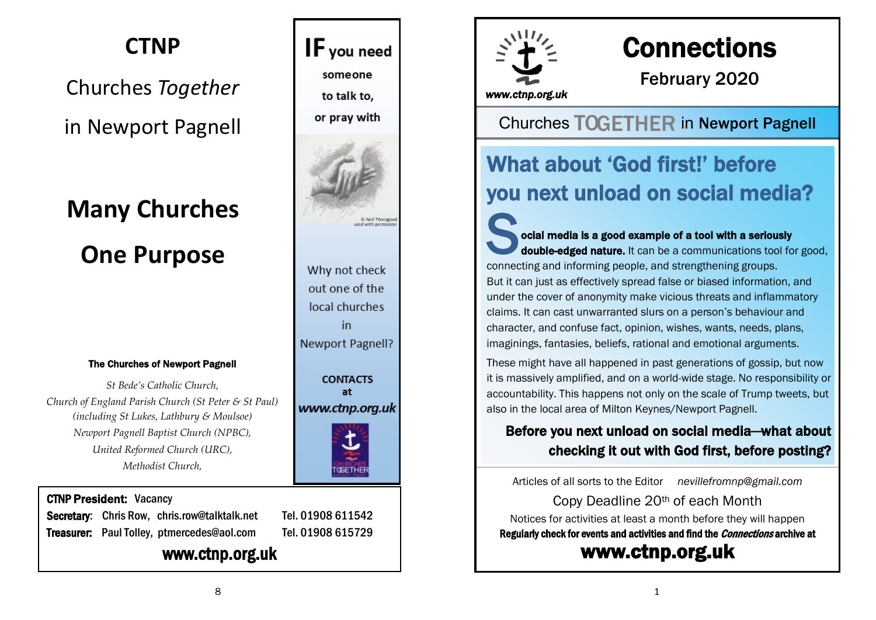# **CTNP**

# Churches *Together* in Newport Pagnell

# **Many Churches One Purpose**

#### The Churches of Newport Pagnell

*St Bede's Catholic Church, Church of England Parish Church (St Peter & St Paul) (including St Lukes, Lathbury & Moulsoe) Newport Pagnell Baptist Church (NPBC), United Reformed Church (URC), Methodist Church,*

# or prav with

**CONTACTS** at www.ctnp.org.uk



#### CTNP President: Vacancy

Secretary: Chris Row, chris.row@talktalk.net Tel. 01908 611542 Treasurer: Paul Tolley, ptmercedes@aol.com Tel. 01908 615729

#### www.ctnp.org.uk



Why not check out one of the local churches in Newport Pagnell?

IF you need

someone

to talk to.



# **Connections**

February 2020

*www.ctnp.org.uk* 

### **Churches TOGETHER in Newport Pagnell**

# What about 'God first!' before you next unload on social media?

S oci ocial media is a good example of a tool with a seriously double-edged nature. It can be a communications tool for good, connecting and informing people, and strengthening groups. But it can just as effectively spread false or biased information, and under the cover of anonymity make vicious threats and inflammatory claims. It can cast unwarranted slurs on a person's behaviour and character, and confuse fact, opinion, wishes, wants, needs, plans, imaginings, fantasies, beliefs, rational and emotional arguments.

These might have all happened in past generations of gossip, but now it is massively amplified, and on a world-wide stage. No responsibility or accountability. This happens not only on the scale of Trump tweets, but also in the local area of Milton Keynes/Newport Pagnell.

#### Before you next unload on social media—what about checking it out with God first, before posting?

Articles of all sorts to the Editor *[nevillefromnp@gmail.com](mailto:nevillefromnp@gmail.com)*

Copy Deadline 20th of each Month Notices for activities at least a month before they will happen Regularly check for events and activities and find the *Connections* archive at [www.ctnp.org.uk](http://www.ctnp.org.uk)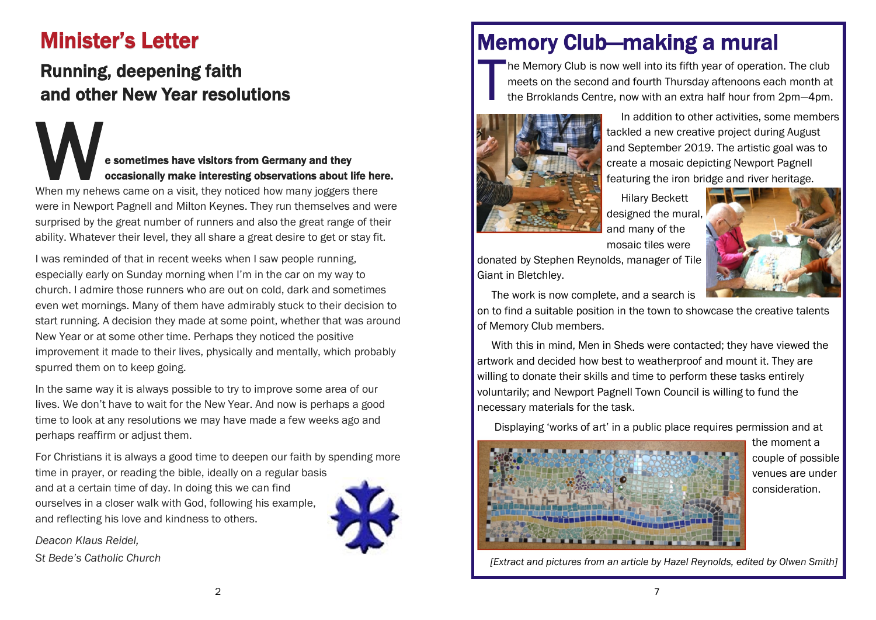# Minister's Letter

## Running, deepening faith and other New Year resolutions

# Example 12 and they accasionally make interesting observations about life here.<br>When my nehews came on a visit, they noticed how many joggers there e sometimes have visitors from Germany and they occasionally make interesting observations about life here.

were in Newport Pagnell and Milton Keynes. They run themselves and were surprised by the great number of runners and also the great range of their ability. Whatever their level, they all share a great desire to get or stay fit.

I was reminded of that in recent weeks when I saw people running, especially early on Sunday morning when I'm in the car on my way to church. I admire those runners who are out on cold, dark and sometimes even wet mornings. Many of them have admirably stuck to their decision to start running. A decision they made at some point, whether that was around New Year or at some other time. Perhaps they noticed the positive improvement it made to their lives, physically and mentally, which probably spurred them on to keep going.

In the same way it is always possible to try to improve some area of our lives. We don't have to wait for the New Year. And now is perhaps a good time to look at any resolutions we may have made a few weeks ago and perhaps reaffirm or adjust them.

For Christians it is always a good time to deepen our faith by spending more time in prayer, or reading the bible, ideally on a regular basis and at a certain time of day. In doing this we can find ourselves in a closer walk with God, following his example, and reflecting his love and kindness to others.

*Deacon Klaus Reidel,*

*St Bede's Catholic Church*



# Memory Club—making a mural

T he Memory Club is now well into its fifth year of operation. The club meets on the second and fourth Thursday aftenoons each month at the Brroklands Centre, now with an extra half hour from 2pm—4pm.



 In addition to other activities, some members tackled a new creative project during August and September 2019. The artistic goal was to create a mosaic depicting Newport Pagnell featuring the iron bridge and river heritage.

 Hilary Beckett designed the mural, and many of the

mosaic tiles were



donated by Stephen Reynolds, manager of Tile Giant in Bletchley.

The work is now complete, and a search is

on to find a suitable position in the town to showcase the creative talents of Memory Club members.

 With this in mind, Men in Sheds were contacted; they have viewed the artwork and decided how best to weatherproof and mount it. They are willing to donate their skills and time to perform these tasks entirely voluntarily; and Newport Pagnell Town Council is willing to fund the necessary materials for the task.

Displaying 'works of art' in a public place requires permission and at



the moment a couple of possible venues are under consideration.

*[Extract and pictures from an article by Hazel Reynolds, edited by Olwen Smith]*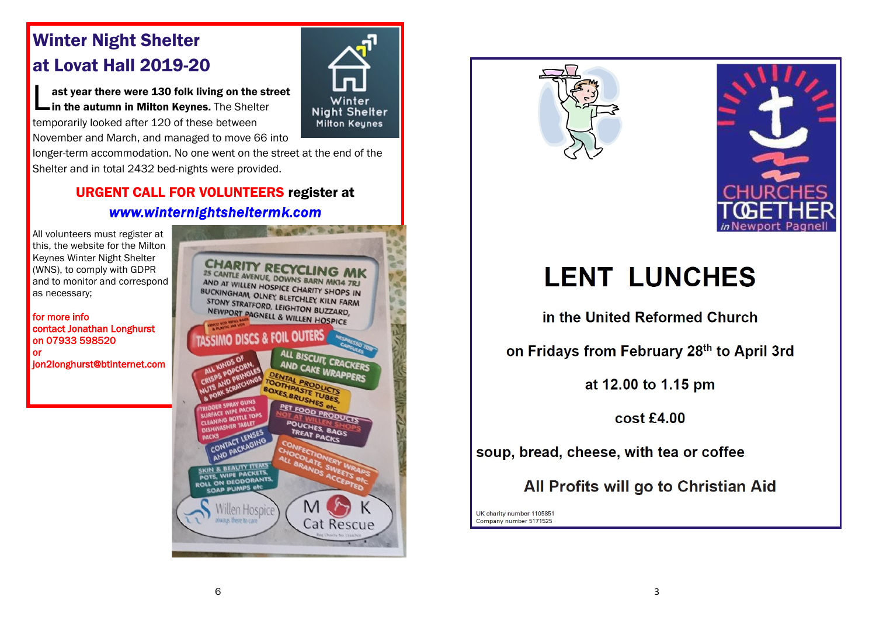## Winter Night Shelter at Lovat Hall 2019-20

**Let ast year there were 130 folk living on the strath in the autumn in Milton Keynes.** The Shelter ast year there were 130 folk living on the street temporarily looked after 120 of these between November and March, and managed to move 66 into

longer-term accommodation. No one went on the street at the end of the Shelter and in total 2432 bed-nights were provided.

#### URGENT CALL FOR VOLUNTEERS register at *[www.winternightsheltermk.com](http://www.winternightsheltermk.com)*

All volunteers must register at this, the website for the Milton Keynes Winter Night Shelter (WNS), to comply with GDPR and to monitor and correspond as necessary;

for more info contact Jonathan Longhurst on 07933 598520 or jon2longhurst@btinternet.com

CANTLE AVENUE DOWNS BARN MK14 7R AND AT WILLEN HOSPICE CHARITY SHOPS IN BUCKINGHAM OLNEY BLETCHLEY SHOPS IN STONY STRATFORD I EIGHTON STONY STRATFORD, LEIGHTON BUZZARD, NEWPORT PAGNELL & WILLEN HOSPICE BISCUIT CRACKERS AND CAKE WRAPPERS E TUBES POUCHES, BAGS TREAT PACKS **POTS, WIPE PACKANTS** CAP PUMPS en Willen Hospice was there to can Cat Rescue



Winter





# **LENT LUNCHES**

in the United Reformed Church

on Fridays from February 28th to April 3rd

at 12.00 to 1.15 pm

cost £4.00

soup, bread, cheese, with tea or coffee

All Profits will go to Christian Aid

UK charity number 1105851 Company number 5171525